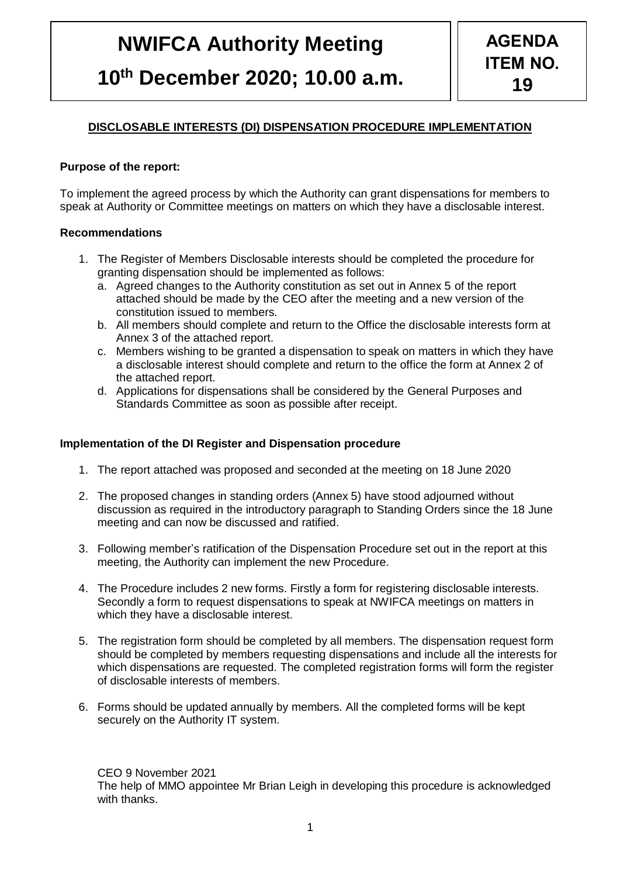# **NWIFCA Authority Meeting 10th December 2020; 10.00 a.m.**

## **DISCLOSABLE INTERESTS (DI) DISPENSATION PROCEDURE IMPLEMENTATION**

## **Purpose of the report:**

To implement the agreed process by which the Authority can grant dispensations for members to speak at Authority or Committee meetings on matters on which they have a disclosable interest.

## **Recommendations**

- 1. The Register of Members Disclosable interests should be completed the procedure for granting dispensation should be implemented as follows:
	- a. Agreed changes to the Authority constitution as set out in Annex 5 of the report attached should be made by the CEO after the meeting and a new version of the constitution issued to members.
	- b. All members should complete and return to the Office the disclosable interests form at Annex 3 of the attached report.
	- c. Members wishing to be granted a dispensation to speak on matters in which they have a disclosable interest should complete and return to the office the form at Annex 2 of the attached report.
	- d. Applications for dispensations shall be considered by the General Purposes and Standards Committee as soon as possible after receipt.

## **Implementation of the DI Register and Dispensation procedure**

- 1. The report attached was proposed and seconded at the meeting on 18 June 2020
- 2. The proposed changes in standing orders (Annex 5) have stood adjourned without discussion as required in the introductory paragraph to Standing Orders since the 18 June meeting and can now be discussed and ratified.
- 3. Following member's ratification of the Dispensation Procedure set out in the report at this meeting, the Authority can implement the new Procedure.
- 4. The Procedure includes 2 new forms. Firstly a form for registering disclosable interests. Secondly a form to request dispensations to speak at NWIFCA meetings on matters in which they have a disclosable interest.
- 5. The registration form should be completed by all members. The dispensation request form should be completed by members requesting dispensations and include all the interests for which dispensations are requested. The completed registration forms will form the register of disclosable interests of members.
- 6. Forms should be updated annually by members. All the completed forms will be kept securely on the Authority IT system.

CEO 9 November 2021

The help of MMO appointee Mr Brian Leigh in developing this procedure is acknowledged with thanks.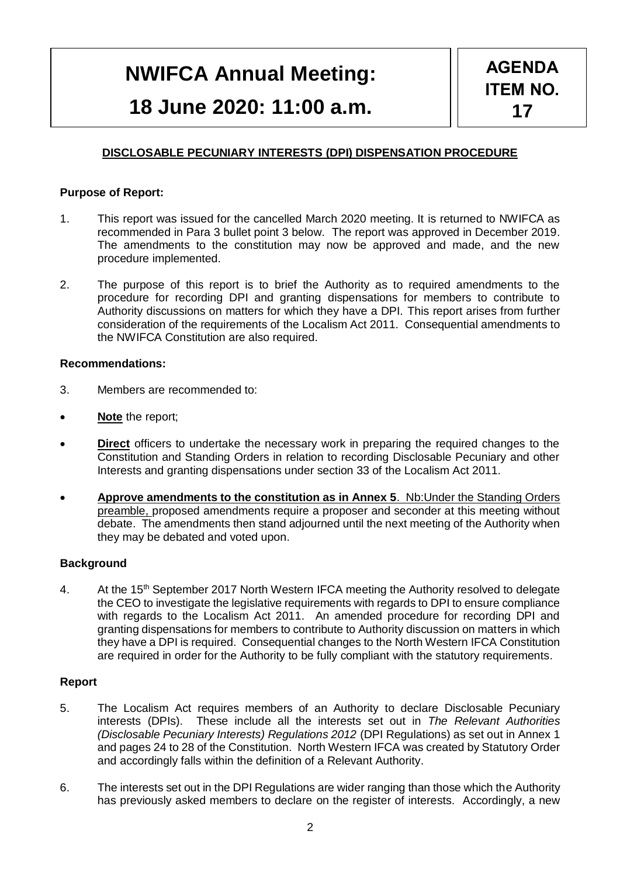## **NWIFCA Annual Meeting: 18 June 2020: 11:00 a.m.**

## **DISCLOSABLE PECUNIARY INTERESTS (DPI) DISPENSATION PROCEDURE**

## **Purpose of Report:**

- 1. This report was issued for the cancelled March 2020 meeting. It is returned to NWIFCA as recommended in Para 3 bullet point 3 below. The report was approved in December 2019. The amendments to the constitution may now be approved and made, and the new procedure implemented.
- 2. The purpose of this report is to brief the Authority as to required amendments to the procedure for recording DPI and granting dispensations for members to contribute to Authority discussions on matters for which they have a DPI. This report arises from further consideration of the requirements of the Localism Act 2011. Consequential amendments to the NWIFCA Constitution are also required.

#### **Recommendations:**

- 3. Members are recommended to:
- **Note** the report;
- **Direct** officers to undertake the necessary work in preparing the required changes to the Constitution and Standing Orders in relation to recording Disclosable Pecuniary and other Interests and granting dispensations under section 33 of the Localism Act 2011.
- **Approve amendments to the constitution as in Annex 5**. Nb:Under the Standing Orders preamble, proposed amendments require a proposer and seconder at this meeting without debate. The amendments then stand adjourned until the next meeting of the Authority when they may be debated and voted upon.

## **Background**

4. At the 15<sup>th</sup> September 2017 North Western IFCA meeting the Authority resolved to delegate the CEO to investigate the legislative requirements with regards to DPI to ensure compliance with regards to the Localism Act 2011. An amended procedure for recording DPI and granting dispensations for members to contribute to Authority discussion on matters in which they have a DPI is required. Consequential changes to the North Western IFCA Constitution are required in order for the Authority to be fully compliant with the statutory requirements.

#### **Report**

- 5. The Localism Act requires members of an Authority to declare Disclosable Pecuniary interests (DPIs). These include all the interests set out in *The Relevant Authorities (Disclosable Pecuniary Interests) Regulations 2012* (DPI Regulations) as set out in Annex 1 and pages 24 to 28 of the Constitution. North Western IFCA was created by Statutory Order and accordingly falls within the definition of a Relevant Authority.
- 6. The interests set out in the DPI Regulations are wider ranging than those which the Authority has previously asked members to declare on the register of interests. Accordingly, a new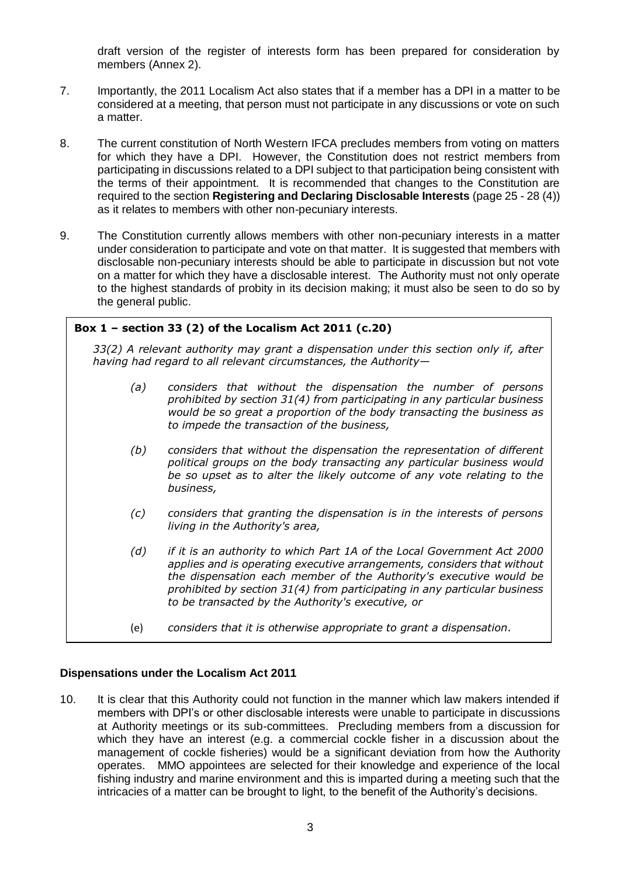draft version of the register of interests form has been prepared for consideration by members (Annex 2).

- 7. Importantly, the 2011 Localism Act also states that if a member has a DPI in a matter to be considered at a meeting, that person must not participate in any discussions or vote on such a matter.
- 8. The current constitution of North Western IFCA precludes members from voting on matters for which they have a DPI. However, the Constitution does not restrict members from participating in discussions related to a DPI subject to that participation being consistent with the terms of their appointment. It is recommended that changes to the Constitution are required to the section **Registering and Declaring Disclosable Interests** (page 25 - 28 (4)) as it relates to members with other non-pecuniary interests.
- 9. The Constitution currently allows members with other non-pecuniary interests in a matter under consideration to participate and vote on that matter. It is suggested that members with disclosable non-pecuniary interests should be able to participate in discussion but not vote on a matter for which they have a disclosable interest. The Authority must not only operate to the highest standards of probity in its decision making; it must also be seen to do so by the general public.

| Box $1$ – section 33 (2) of the Localism Act 2011 (c.20) |                                                                                                                                                                                                                                                                                                                                                              |  |  |  |
|----------------------------------------------------------|--------------------------------------------------------------------------------------------------------------------------------------------------------------------------------------------------------------------------------------------------------------------------------------------------------------------------------------------------------------|--|--|--|
|                                                          | 33(2) A relevant authority may grant a dispensation under this section only if, after<br>having had regard to all relevant circumstances, the Authority-                                                                                                                                                                                                     |  |  |  |
| (a)                                                      | considers that without the dispensation the number of persons<br>prohibited by section $31(4)$ from participating in any particular business<br>would be so great a proportion of the body transacting the business as<br>to impede the transaction of the business,                                                                                         |  |  |  |
| (b)                                                      | considers that without the dispensation the representation of different<br>political groups on the body transacting any particular business would<br>be so upset as to alter the likely outcome of any vote relating to the<br>business,                                                                                                                     |  |  |  |
| (c)                                                      | considers that granting the dispensation is in the interests of persons<br>living in the Authority's area,                                                                                                                                                                                                                                                   |  |  |  |
| (d)                                                      | if it is an authority to which Part 1A of the Local Government Act 2000<br>applies and is operating executive arrangements, considers that without<br>the dispensation each member of the Authority's executive would be<br>prohibited by section $31(4)$ from participating in any particular business<br>to be transacted by the Authority's executive, or |  |  |  |

(e) *considers that it is otherwise appropriate to grant a dispensation.*

#### **Dispensations under the Localism Act 2011**

10. It is clear that this Authority could not function in the manner which law makers intended if members with DPI's or other disclosable interests were unable to participate in discussions at Authority meetings or its sub-committees. Precluding members from a discussion for which they have an interest (e.g. a commercial cockle fisher in a discussion about the management of cockle fisheries) would be a significant deviation from how the Authority operates. MMO appointees are selected for their knowledge and experience of the local fishing industry and marine environment and this is imparted during a meeting such that the intricacies of a matter can be brought to light, to the benefit of the Authority's decisions.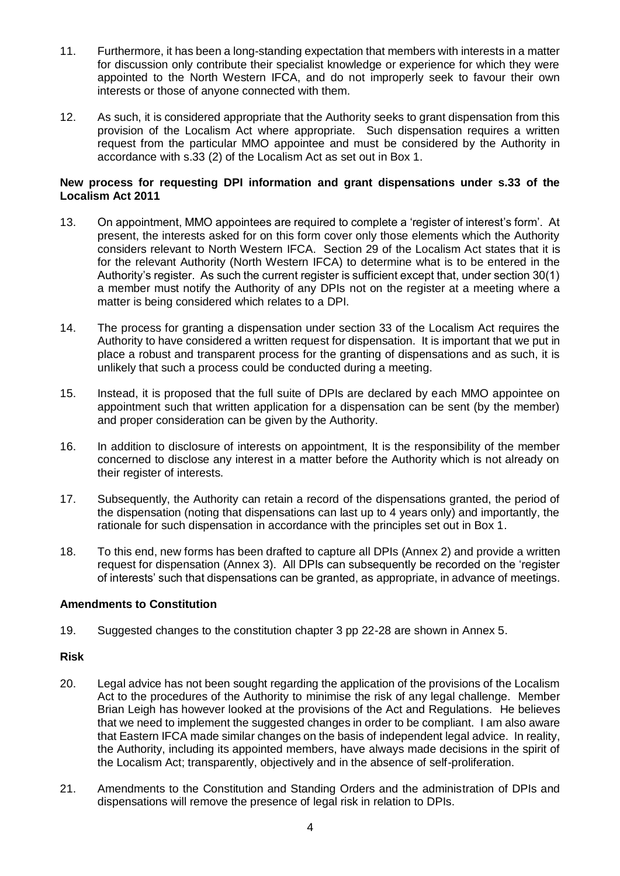- 11. Furthermore, it has been a long-standing expectation that members with interests in a matter for discussion only contribute their specialist knowledge or experience for which they were appointed to the North Western IFCA, and do not improperly seek to favour their own interests or those of anyone connected with them.
- 12. As such, it is considered appropriate that the Authority seeks to grant dispensation from this provision of the Localism Act where appropriate. Such dispensation requires a written request from the particular MMO appointee and must be considered by the Authority in accordance with s.33 (2) of the Localism Act as set out in Box 1.

## **New process for requesting DPI information and grant dispensations under s.33 of the Localism Act 2011**

- 13. On appointment, MMO appointees are required to complete a 'register of interest's form'. At present, the interests asked for on this form cover only those elements which the Authority considers relevant to North Western IFCA. Section 29 of the Localism Act states that it is for the relevant Authority (North Western IFCA) to determine what is to be entered in the Authority's register. As such the current register is sufficient except that, under section 30(1) a member must notify the Authority of any DPIs not on the register at a meeting where a matter is being considered which relates to a DPI.
- 14. The process for granting a dispensation under section 33 of the Localism Act requires the Authority to have considered a written request for dispensation. It is important that we put in place a robust and transparent process for the granting of dispensations and as such, it is unlikely that such a process could be conducted during a meeting.
- 15. Instead, it is proposed that the full suite of DPIs are declared by each MMO appointee on appointment such that written application for a dispensation can be sent (by the member) and proper consideration can be given by the Authority.
- 16. In addition to disclosure of interests on appointment, It is the responsibility of the member concerned to disclose any interest in a matter before the Authority which is not already on their register of interests.
- 17. Subsequently, the Authority can retain a record of the dispensations granted, the period of the dispensation (noting that dispensations can last up to 4 years only) and importantly, the rationale for such dispensation in accordance with the principles set out in Box 1.
- 18. To this end, new forms has been drafted to capture all DPIs (Annex 2) and provide a written request for dispensation (Annex 3). All DPIs can subsequently be recorded on the 'register of interests' such that dispensations can be granted, as appropriate, in advance of meetings.

## **Amendments to Constitution**

19. Suggested changes to the constitution chapter 3 pp 22-28 are shown in Annex 5.

## **Risk**

- 20. Legal advice has not been sought regarding the application of the provisions of the Localism Act to the procedures of the Authority to minimise the risk of any legal challenge. Member Brian Leigh has however looked at the provisions of the Act and Regulations. He believes that we need to implement the suggested changes in order to be compliant. I am also aware that Eastern IFCA made similar changes on the basis of independent legal advice. In reality, the Authority, including its appointed members, have always made decisions in the spirit of the Localism Act; transparently, objectively and in the absence of self-proliferation.
- 21. Amendments to the Constitution and Standing Orders and the administration of DPIs and dispensations will remove the presence of legal risk in relation to DPIs.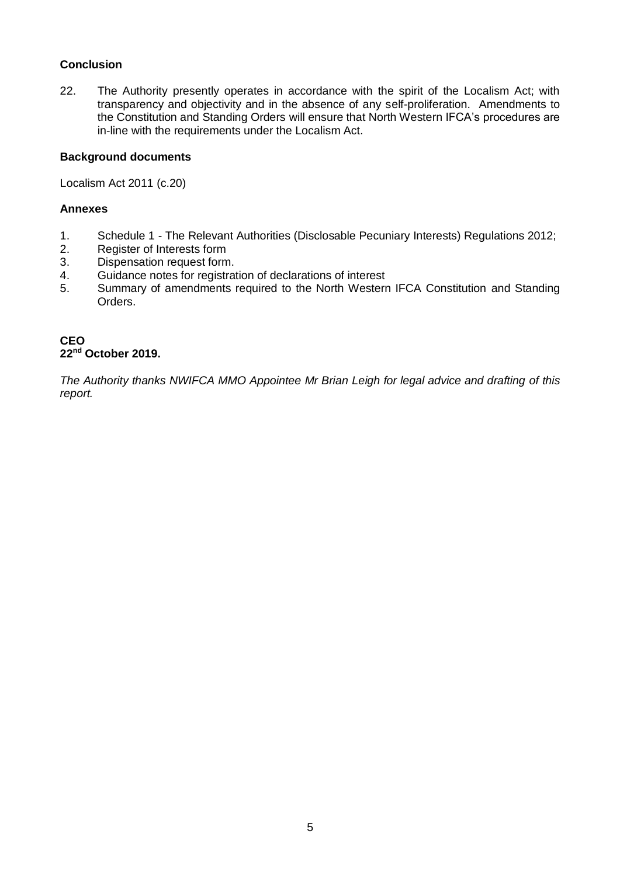## **Conclusion**

22. The Authority presently operates in accordance with the spirit of the Localism Act; with transparency and objectivity and in the absence of any self-proliferation. Amendments to the Constitution and Standing Orders will ensure that North Western IFCA's procedures are in-line with the requirements under the Localism Act.

## **Background documents**

Localism Act 2011 (c.20)

## **Annexes**

- 1. Schedule 1 The Relevant Authorities (Disclosable Pecuniary Interests) Regulations 2012;
- 2. Register of Interests form<br>3. Dispensation request form
- Dispensation request form.
- 4. Guidance notes for registration of declarations of interest
- 5. Summary of amendments required to the North Western IFCA Constitution and Standing Orders.

## **CEO 22nd October 2019.**

*The Authority thanks NWIFCA MMO Appointee Mr Brian Leigh for legal advice and drafting of this report.*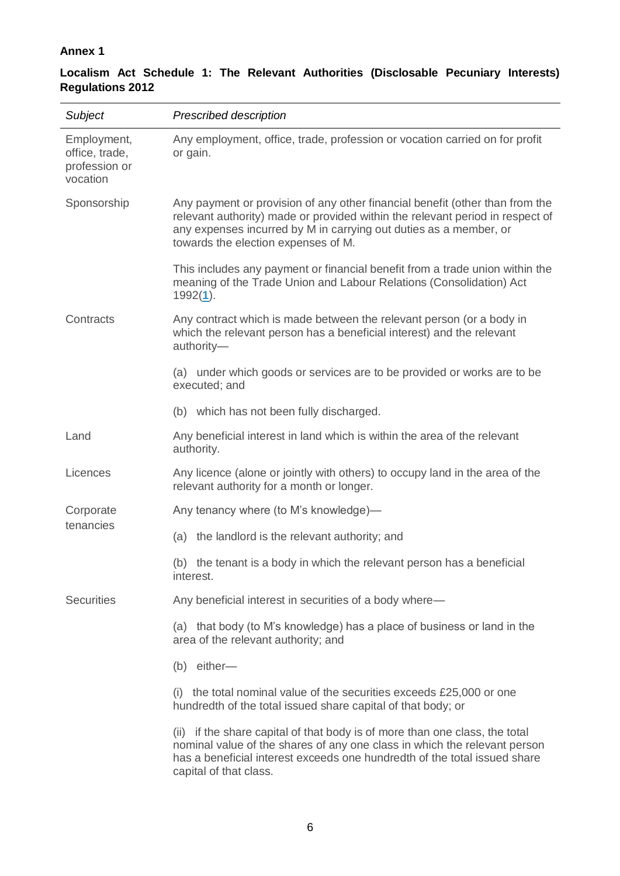## **Annex 1**

## **Localism Act Schedule 1: The Relevant Authorities (Disclosable Pecuniary Interests) Regulations 2012**

| Subject                                                    | Prescribed description                                                                                                                                                                                                                                                    |  |  |
|------------------------------------------------------------|---------------------------------------------------------------------------------------------------------------------------------------------------------------------------------------------------------------------------------------------------------------------------|--|--|
| Employment,<br>office, trade,<br>profession or<br>vocation | Any employment, office, trade, profession or vocation carried on for profit<br>or gain.                                                                                                                                                                                   |  |  |
| Sponsorship                                                | Any payment or provision of any other financial benefit (other than from the<br>relevant authority) made or provided within the relevant period in respect of<br>any expenses incurred by M in carrying out duties as a member, or<br>towards the election expenses of M. |  |  |
|                                                            | This includes any payment or financial benefit from a trade union within the<br>meaning of the Trade Union and Labour Relations (Consolidation) Act<br>$1992(1)$ .                                                                                                        |  |  |
| Contracts                                                  | Any contract which is made between the relevant person (or a body in<br>which the relevant person has a beneficial interest) and the relevant<br>authority-                                                                                                               |  |  |
|                                                            | (a) under which goods or services are to be provided or works are to be<br>executed; and                                                                                                                                                                                  |  |  |
|                                                            | (b) which has not been fully discharged.                                                                                                                                                                                                                                  |  |  |
| Land                                                       | Any beneficial interest in land which is within the area of the relevant<br>authority.                                                                                                                                                                                    |  |  |
| Licences                                                   | Any licence (alone or jointly with others) to occupy land in the area of the<br>relevant authority for a month or longer.                                                                                                                                                 |  |  |
| Corporate<br>tenancies                                     | Any tenancy where (to M's knowledge)-                                                                                                                                                                                                                                     |  |  |
|                                                            | (a) the landlord is the relevant authority; and                                                                                                                                                                                                                           |  |  |
|                                                            | (b) the tenant is a body in which the relevant person has a beneficial<br>interest.                                                                                                                                                                                       |  |  |
| <b>Securities</b>                                          | Any beneficial interest in securities of a body where-                                                                                                                                                                                                                    |  |  |
|                                                            | (a) that body (to M's knowledge) has a place of business or land in the<br>area of the relevant authority; and                                                                                                                                                            |  |  |
|                                                            | (b) either-                                                                                                                                                                                                                                                               |  |  |
|                                                            | (i) the total nominal value of the securities exceeds $£25,000$ or one<br>hundredth of the total issued share capital of that body; or                                                                                                                                    |  |  |
|                                                            | (ii) if the share capital of that body is of more than one class, the total<br>nominal value of the shares of any one class in which the relevant person<br>has a beneficial interest exceeds one hundredth of the total issued share<br>capital of that class.           |  |  |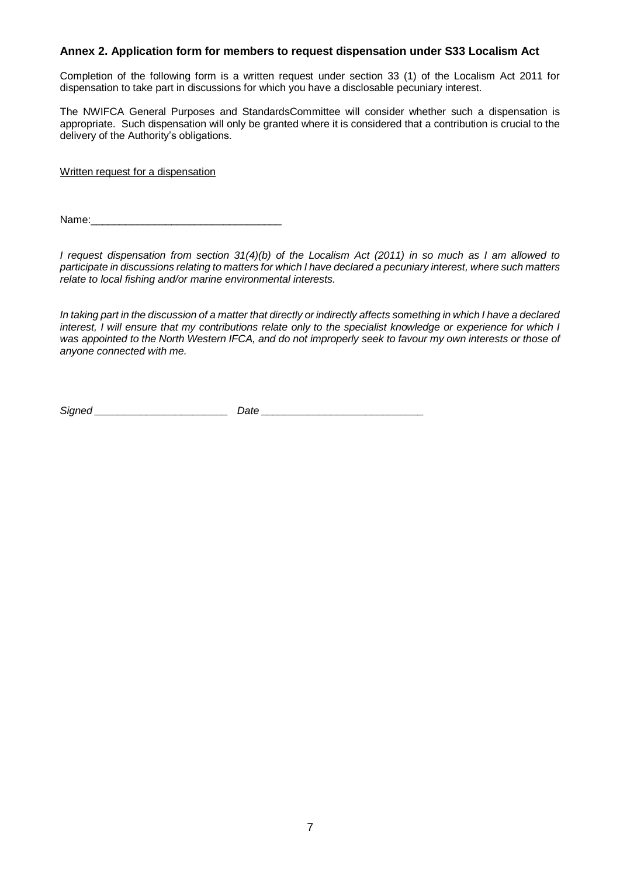## **Annex 2. Application form for members to request dispensation under S33 Localism Act**

Completion of the following form is a written request under section 33 (1) of the Localism Act 2011 for dispensation to take part in discussions for which you have a disclosable pecuniary interest.

The NWIFCA General Purposes and StandardsCommittee will consider whether such a dispensation is appropriate. Such dispensation will only be granted where it is considered that a contribution is crucial to the delivery of the Authority's obligations.

Written request for a dispensation

Name:

*I request dispensation from section 31(4)(b) of the Localism Act (2011) in so much as I am allowed to participate in discussions relating to matters for which I have declared a pecuniary interest, where such matters relate to local fishing and/or marine environmental interests.* 

*In taking part in the discussion of a matter that directly or indirectly affects something in which I have a declared interest, I will ensure that my contributions relate only to the specialist knowledge or experience for which I was appointed to the North Western IFCA, and do not improperly seek to favour my own interests or those of anyone connected with me.*

*Signed \_\_\_\_\_\_\_\_\_\_\_\_\_\_\_\_\_\_\_\_\_\_\_ Date \_\_\_\_\_\_\_\_\_\_\_\_\_\_\_\_\_\_\_\_\_\_\_\_\_\_\_\_*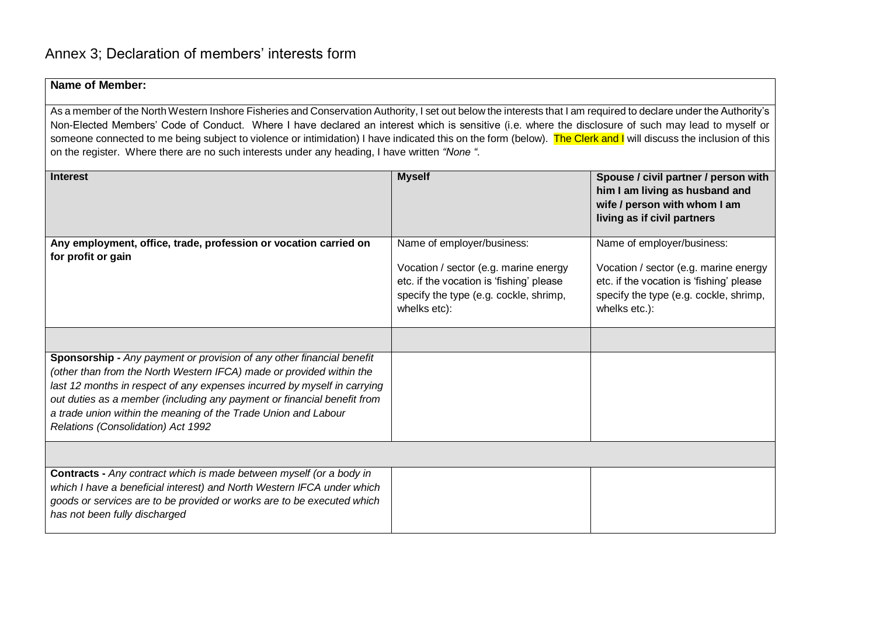## **Name of Member:**

As a member of the North Western Inshore Fisheries and Conservation Authority, I set out below the interests that I am required to declare under the Authority's Non-Elected Members' Code of Conduct. Where I have declared an interest which is sensitive (i.e. where the disclosure of such may lead to myself or someone connected to me being subject to violence or intimidation) I have indicated this on the form (below). The Clerk and I will discuss the inclusion of this on the register. Where there are no such interests under any heading, I have written *"None "*.

| <b>Interest</b>                                                                                                                                                                                                                                                                                                                                                                                              | <b>Myself</b>                                                                                                                                                             | Spouse / civil partner / person with<br>him I am living as husband and<br>wife / person with whom I am<br>living as if civil partners                                      |
|--------------------------------------------------------------------------------------------------------------------------------------------------------------------------------------------------------------------------------------------------------------------------------------------------------------------------------------------------------------------------------------------------------------|---------------------------------------------------------------------------------------------------------------------------------------------------------------------------|----------------------------------------------------------------------------------------------------------------------------------------------------------------------------|
| Any employment, office, trade, profession or vocation carried on<br>for profit or gain                                                                                                                                                                                                                                                                                                                       | Name of employer/business:<br>Vocation / sector (e.g. marine energy<br>etc. if the vocation is 'fishing' please<br>specify the type (e.g. cockle, shrimp,<br>whelks etc): | Name of employer/business:<br>Vocation / sector (e.g. marine energy<br>etc. if the vocation is 'fishing' please<br>specify the type (e.g. cockle, shrimp,<br>whelks etc.): |
|                                                                                                                                                                                                                                                                                                                                                                                                              |                                                                                                                                                                           |                                                                                                                                                                            |
| Sponsorship - Any payment or provision of any other financial benefit<br>(other than from the North Western IFCA) made or provided within the<br>last 12 months in respect of any expenses incurred by myself in carrying<br>out duties as a member (including any payment or financial benefit from<br>a trade union within the meaning of the Trade Union and Labour<br>Relations (Consolidation) Act 1992 |                                                                                                                                                                           |                                                                                                                                                                            |
|                                                                                                                                                                                                                                                                                                                                                                                                              |                                                                                                                                                                           |                                                                                                                                                                            |
| Contracts - Any contract which is made between myself (or a body in<br>which I have a beneficial interest) and North Western IFCA under which<br>goods or services are to be provided or works are to be executed which<br>has not been fully discharged                                                                                                                                                     |                                                                                                                                                                           |                                                                                                                                                                            |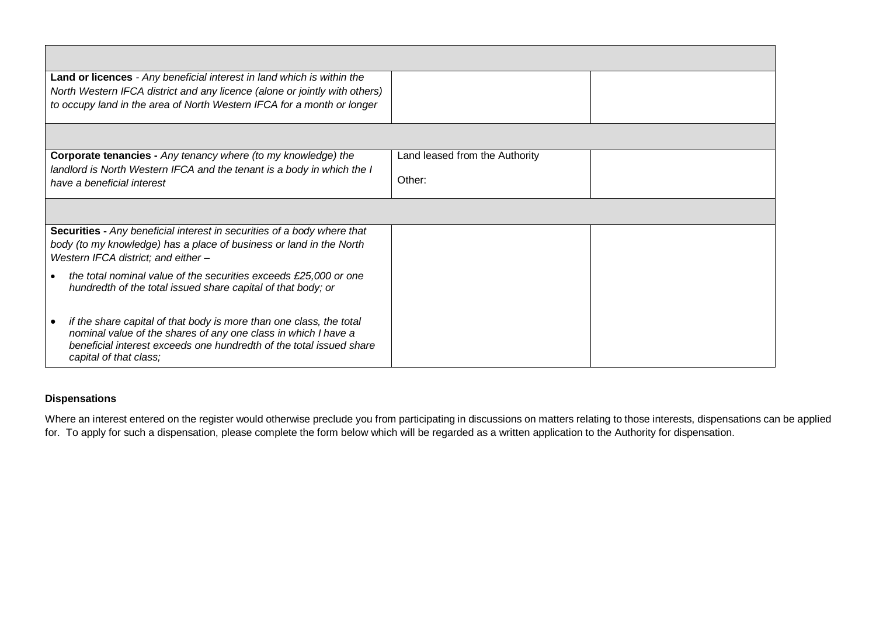| Land or licences - Any beneficial interest in land which is within the                                                                                                                                                                 |                                |
|----------------------------------------------------------------------------------------------------------------------------------------------------------------------------------------------------------------------------------------|--------------------------------|
| North Western IFCA district and any licence (alone or jointly with others)                                                                                                                                                             |                                |
| to occupy land in the area of North Western IFCA for a month or longer                                                                                                                                                                 |                                |
|                                                                                                                                                                                                                                        |                                |
| <b>Corporate tenancies - Any tenancy where (to my knowledge) the</b>                                                                                                                                                                   | Land leased from the Authority |
| landlord is North Western IFCA and the tenant is a body in which the I<br>have a beneficial interest                                                                                                                                   | Other:                         |
|                                                                                                                                                                                                                                        |                                |
| Securities - Any beneficial interest in securities of a body where that                                                                                                                                                                |                                |
| body (to my knowledge) has a place of business or land in the North<br>Western IFCA district; and either -                                                                                                                             |                                |
| the total nominal value of the securities exceeds £25,000 or one<br>hundredth of the total issued share capital of that body; or                                                                                                       |                                |
| if the share capital of that body is more than one class, the total<br>nominal value of the shares of any one class in which I have a<br>beneficial interest exceeds one hundredth of the total issued share<br>capital of that class; |                                |

## **Dispensations**

Where an interest entered on the register would otherwise preclude you from participating in discussions on matters relating to those interests, dispensations can be applied for. To apply for such a dispensation, please complete the form below which will be regarded as a written application to the Authority for dispensation.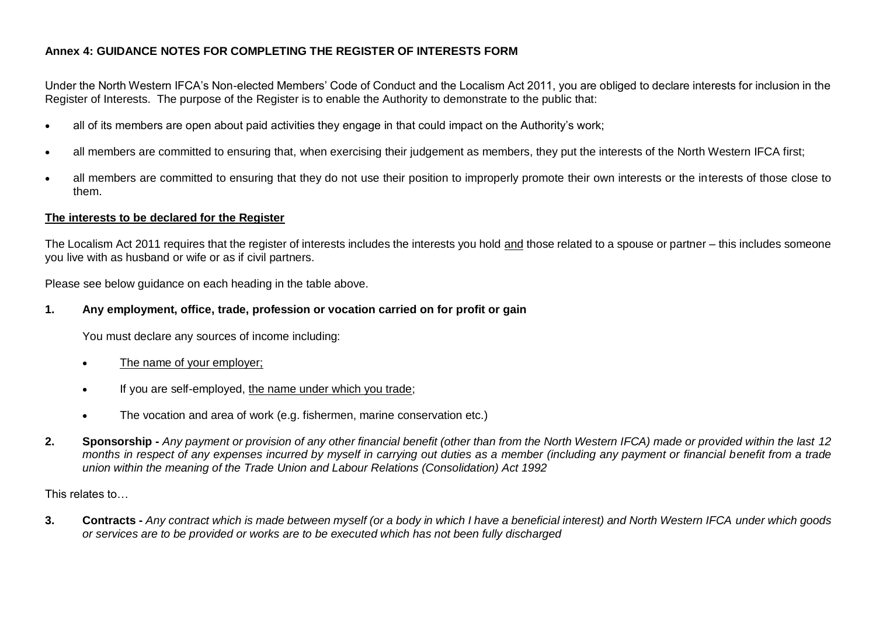## **Annex 4: GUIDANCE NOTES FOR COMPLETING THE REGISTER OF INTERESTS FORM**

Under the North Western IFCA's Non-elected Members' Code of Conduct and the Localism Act 2011, you are obliged to declare interests for inclusion in the Register of Interests. The purpose of the Register is to enable the Authority to demonstrate to the public that:

- all of its members are open about paid activities they engage in that could impact on the Authority's work;
- all members are committed to ensuring that, when exercising their judgement as members, they put the interests of the North Western IFCA first;
- all members are committed to ensuring that they do not use their position to improperly promote their own interests or the interests of those close to them.

## **The interests to be declared for the Register**

The Localism Act 2011 requires that the register of interests includes the interests you hold and those related to a spouse or partner – this includes someone you live with as husband or wife or as if civil partners.

Please see below guidance on each heading in the table above.

## **1. Any employment, office, trade, profession or vocation carried on for profit or gain**

You must declare any sources of income including:

- The name of your employer;
- If you are self-employed, the name under which you trade;
- The vocation and area of work (e.g. fishermen, marine conservation etc.)
- **2. Sponsorship -** *Any payment or provision of any other financial benefit (other than from the North Western IFCA) made or provided within the last 12 months in respect of any expenses incurred by myself in carrying out duties as a member (including any payment or financial benefit from a trade union within the meaning of the Trade Union and Labour Relations (Consolidation) Act 1992*

This relates to…

**3. Contracts -** *Any contract which is made between myself (or a body in which I have a beneficial interest) and North Western IFCA under which goods or services are to be provided or works are to be executed which has not been fully discharged*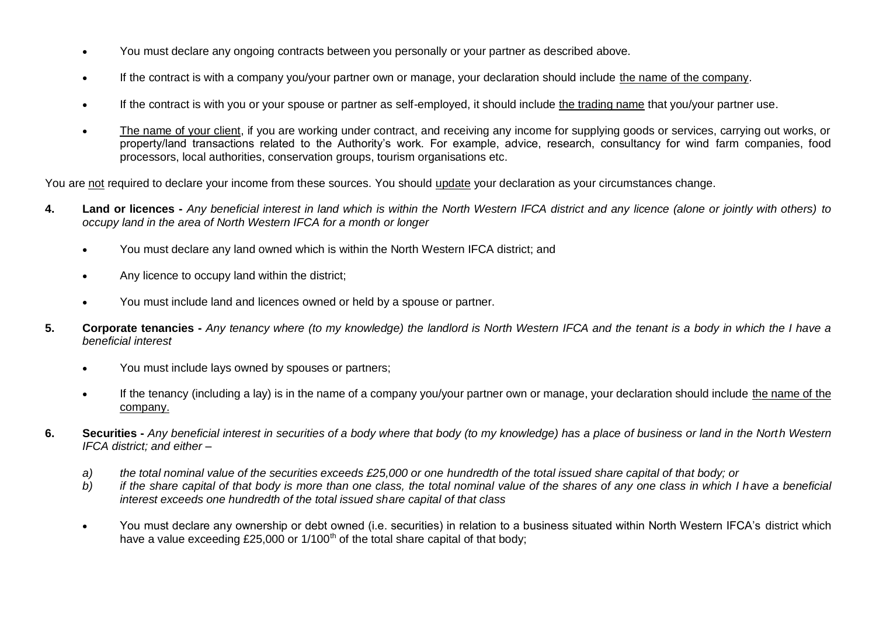- You must declare any ongoing contracts between you personally or your partner as described above.
- If the contract is with a company you/your partner own or manage, your declaration should include the name of the company.
- If the contract is with you or your spouse or partner as self-employed, it should include the trading name that you/your partner use.
- The name of your client, if you are working under contract, and receiving any income for supplying goods or services, carrying out works, or property/land transactions related to the Authority's work. For example, advice, research, consultancy for wind farm companies, food processors, local authorities, conservation groups, tourism organisations etc.

You are not required to declare your income from these sources. You should update your declaration as your circumstances change.

- **4. Land or licences -** *Any beneficial interest in land which is within the North Western IFCA district and any licence (alone or jointly with others) to occupy land in the area of North Western IFCA for a month or longer*
	- You must declare any land owned which is within the North Western IFCA district; and
	- Any licence to occupy land within the district;
	- You must include land and licences owned or held by a spouse or partner.
- **5. Corporate tenancies -** *Any tenancy where (to my knowledge) the landlord is North Western IFCA and the tenant is a body in which the I have a beneficial interest*
	- You must include lays owned by spouses or partners;
	- If the tenancy (including a lay) is in the name of a company you/your partner own or manage, your declaration should include the name of the company.
- **6. Securities -** *Any beneficial interest in securities of a body where that body (to my knowledge) has a place of business or land in the North Western IFCA district; and either –*
	- *a) the total nominal value of the securities exceeds £25,000 or one hundredth of the total issued share capital of that body; or*
	- *b) if the share capital of that body is more than one class, the total nominal value of the shares of any one class in which I have a beneficial interest exceeds one hundredth of the total issued share capital of that class*
	- You must declare any ownership or debt owned (i.e. securities) in relation to a business situated within North Western IFCA's district which have a value exceeding £25,000 or 1/100<sup>th</sup> of the total share capital of that body;